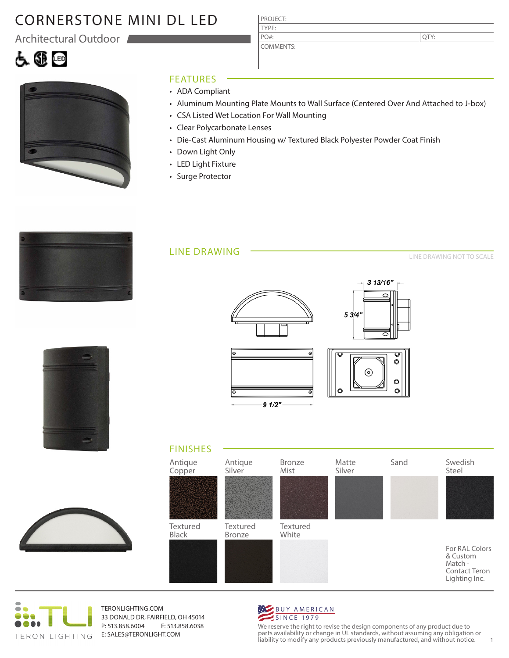# CORNERSTONE MINI DL LED

Architectural Outdoor

## 白色画



#### FEATURES

- ADA Compliant
- Aluminum Mounting Plate Mounts to Wall Surface (Centered Over And Attached to J-box)
- CSA Listed Wet Location For Wall Mounting

PROJECT: TYPE:

PO#:

COMMENTS:

- Clear Polycarbonate Lenses
- Die-Cast Aluminum Housing w/ Textured Black Polyester Powder Coat Finish
- Down Light Only
- LED Light Fixture
- Surge Protector



#### LINE DRAWING

LINE DRAWING NOT TO SCALE

QTY:

|  | <b>The Contract</b> |
|--|---------------------|
|  | -<br>-3             |
|  | <b>START OF</b>     |
|  |                     |
|  |                     |
|  |                     |
|  |                     |
|  |                     |
|  |                     |
|  |                     |
|  |                     |
|  | __<br>۰<br>--       |
|  | <b>Contract</b>     |
|  |                     |
|  |                     |









TERONLIGHTING.COM 33 DONALD DR, FAIRFIELD, OH 45014 P: 513.858.6004 F: 513.858.6038 E: SALES@TERONLIGHT.COM



We reserve the right to revise the design components of any product due to parts availability or change in UL standards, without assuming any obligation or liability to modify any products previously manufactured, and without notice. 1